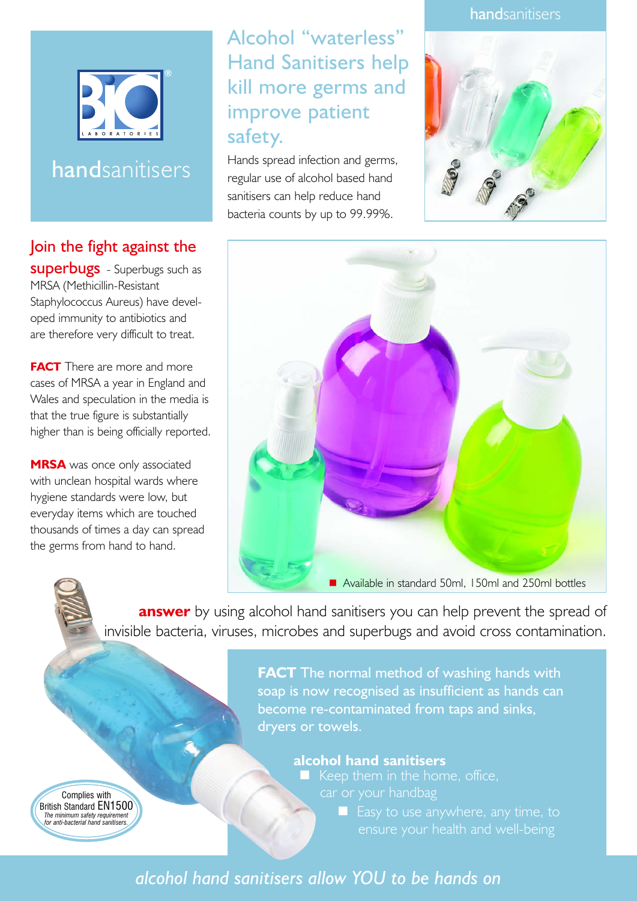

# handsanitisers

### Join the fight against the

**superbugs** - Superbugs such as MRSA (Methicillin-Resistant Staphylococcus Aureus) have developed immunity to antibiotics and are therefore very difficult to treat.

**FACT** There are more and more cases of MRSA a year in England and Wales and speculation in the media is that the true figure is substantially higher than is being officially reported.

**MRSA** was once only associated with unclean hospital wards where hygiene standards were low, but everyday items which are touched thousands of times a day can spread the germs from hand to hand.

# Alcohol "waterless" Hand Sanitisers help kill more germs and improve patient safety.

Hands spread infection and germs, regular use of alcohol based hand sanitisers can help reduce hand bacteria counts by up to 99.99%.





**answer** by using alcohol hand sanitisers you can help prevent the spread of invisible bacteria, viruses, microbes and superbugs and avoid cross contamination.

> **FACT** The normal method of washing hands with soap is now recognised as insufficient as hands can become re-contaminated from taps and sinks, dryers or towels.

> > **alcohol hand sanitisers**

 $\blacksquare$  Easy to use anywhere, any time, to

Complies with British Standard EN1500 *The minimum safety requirement for anti-bacterial hand sanitisers.*

### *alcohol hand sanitisers allow YOU to be hands on*